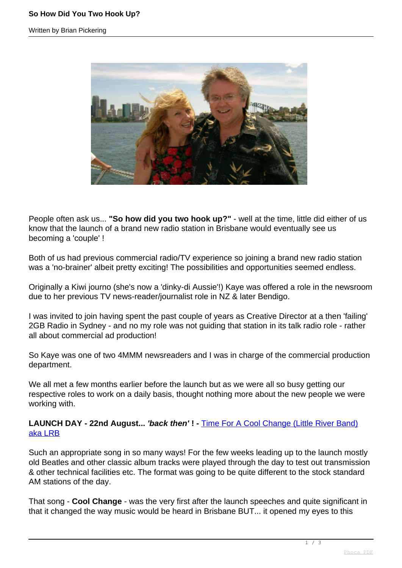Written by Brian Pickering



People often ask us... **"So how did you two hook up?"** - well at the time, little did either of us know that the launch of a brand new radio station in Brisbane would eventually see us becoming a 'couple' !

Both of us had previous commercial radio/TV experience so joining a brand new radio station was a 'no-brainer' albeit pretty exciting! The possibilities and opportunities seemed endless.

Originally a Kiwi journo (she's now a 'dinky-di Aussie'!) Kaye was offered a role in the newsroom due to her previous TV news-reader/journalist role in NZ & later Bendigo.

I was invited to join having spent the past couple of years as Creative Director at a then 'failing' 2GB Radio in Sydney - and no my role was not guiding that station in its talk radio role - rather all about commercial ad production!

So Kaye was one of two 4MMM newsreaders and I was in charge of the commercial production department.

We all met a few months earlier before the launch but as we were all so busy getting our respective roles to work on a daily basis, thought nothing more about the new people we were working with.

**LAUNCH DAY - 22nd August... 'back then' ! -** [Time For A Cool Change \(Little River Band\)](https://www.coolchangelrbstory.com.au/) [aka LRB](https://www.coolchangelrbstory.com.au/)

Such an appropriate song in so many ways! For the few weeks leading up to the launch mostly old Beatles and other classic album tracks were played through the day to test out transmission & other technical facilities etc. The format was going to be quite different to the stock standard AM stations of the day.

That song - **Cool Change** - was the very first after the launch speeches and quite significant in that it changed the way music would be heard in Brisbane BUT... it opened my eyes to this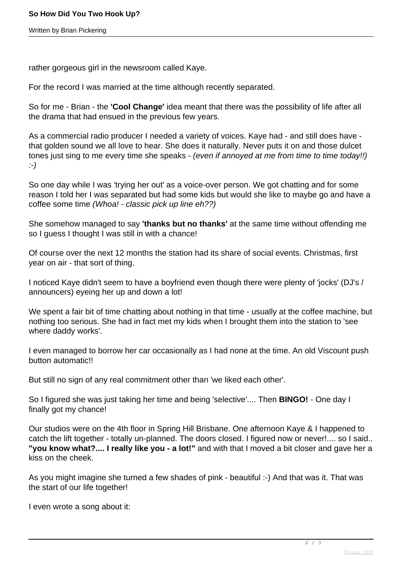Written by Brian Pickering

rather gorgeous girl in the newsroom called Kaye.

For the record I was married at the time although recently separated.

So for me - Brian - the **'Cool Change'** idea meant that there was the possibility of life after all the drama that had ensued in the previous few years.

As a commercial radio producer I needed a variety of voices. Kaye had - and still does have that golden sound we all love to hear. She does it naturally. Never puts it on and those dulcet tones just sing to me every time she speaks - (even if annoyed at me from time to time today!!) :-)

So one day while I was 'trying her out' as a voice-over person. We got chatting and for some reason I told her I was separated but had some kids but would she like to maybe go and have a coffee some time (Whoa! - classic pick up line eh??)

She somehow managed to say **'thanks but no thanks'** at the same time without offending me so I guess I thought I was still in with a chance!

Of course over the next 12 months the station had its share of social events. Christmas, first year on air - that sort of thing.

I noticed Kaye didn't seem to have a boyfriend even though there were plenty of 'jocks' (DJ's / announcers) eyeing her up and down a lot!

We spent a fair bit of time chatting about nothing in that time - usually at the coffee machine, but nothing too serious. She had in fact met my kids when I brought them into the station to 'see where daddy works'.

I even managed to borrow her car occasionally as I had none at the time. An old Viscount push button automatic!!

But still no sign of any real commitment other than 'we liked each other'.

So I figured she was just taking her time and being 'selective'.... Then **BINGO!** - One day I finally got my chance!

Our studios were on the 4th floor in Spring Hill Brisbane. One afternoon Kaye & I happened to catch the lift together - totally un-planned. The doors closed. I figured now or never!.... so I said.. **"you know what?.... I really like you - a lot!"** and with that I moved a bit closer and gave her a kiss on the cheek.

As you might imagine she turned a few shades of pink - beautiful :-) And that was it. That was the start of our life together!

I even wrote a song about it: